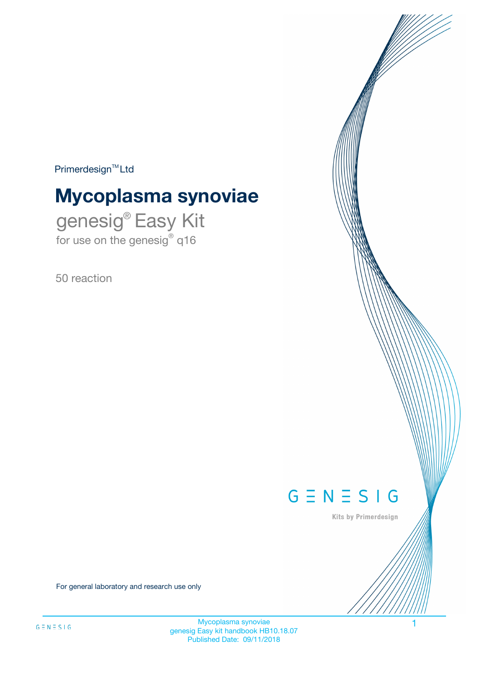$Primerdesign^{\text{TM}}Ltd$ 

# **Mycoplasma synoviae**

genesig® Easy Kit for use on the genesig® q16

50 reaction



Kits by Primerdesign

For general laboratory and research use only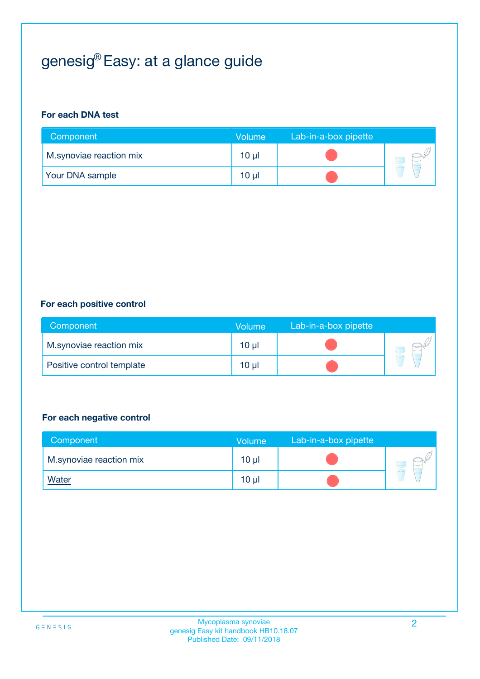# genesig® Easy: at a glance guide

#### **For each DNA test**

| Component               | <b>Volume</b> | Lab-in-a-box pipette |  |
|-------------------------|---------------|----------------------|--|
| M.synoviae reaction mix | 10 µl         |                      |  |
| <b>Your DNA sample</b>  | 10 µl         |                      |  |

#### **For each positive control**

| Component                 | Volume          | Lab-in-a-box pipette |  |
|---------------------------|-----------------|----------------------|--|
| M.synoviae reaction mix   | 10 <sub>µ</sub> |                      |  |
| Positive control template | $10 \mu$        |                      |  |

#### **For each negative control**

| Component               | <b>Volume</b>   | Lab-in-a-box pipette |  |
|-------------------------|-----------------|----------------------|--|
| M.synoviae reaction mix | 10 <sub>µ</sub> |                      |  |
| <u>Water</u>            | 10 <sub>µ</sub> |                      |  |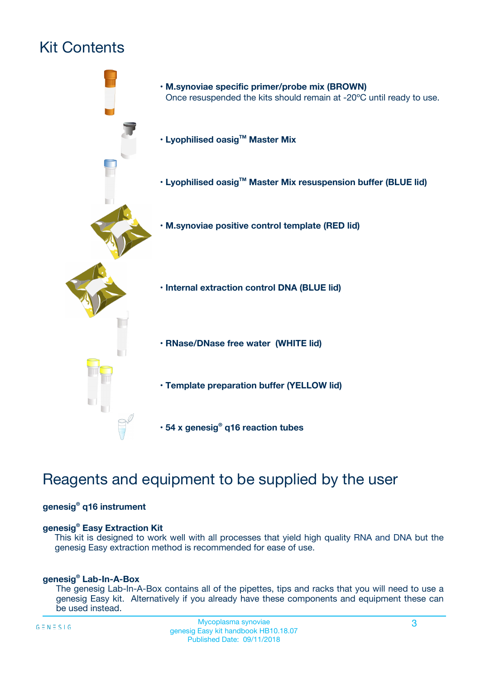# Kit Contents



# Reagents and equipment to be supplied by the user

#### **genesig® q16 instrument**

#### **genesig® Easy Extraction Kit**

This kit is designed to work well with all processes that yield high quality RNA and DNA but the genesig Easy extraction method is recommended for ease of use.

#### **genesig® Lab-In-A-Box**

The genesig Lab-In-A-Box contains all of the pipettes, tips and racks that you will need to use a genesig Easy kit. Alternatively if you already have these components and equipment these can be used instead.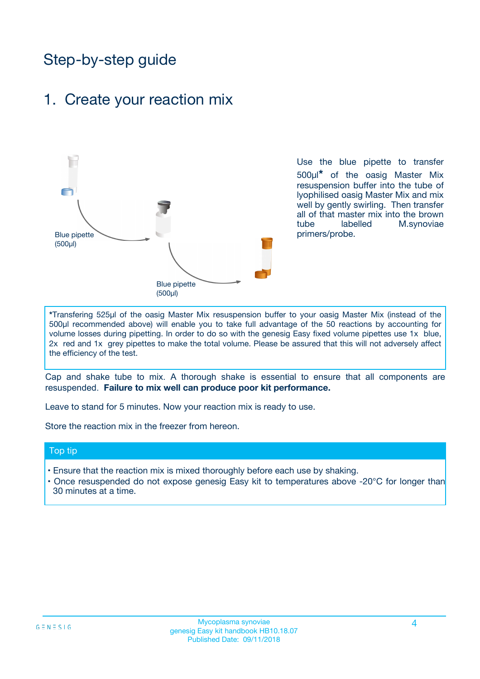# Step-by-step guide

### 1. Create your reaction mix



Use the blue pipette to transfer 500µl**\*** of the oasig Master Mix resuspension buffer into the tube of lyophilised oasig Master Mix and mix well by gently swirling. Then transfer all of that master mix into the brown tube labelled M.synoviae primers/probe.

**\***Transfering 525µl of the oasig Master Mix resuspension buffer to your oasig Master Mix (instead of the 500µl recommended above) will enable you to take full advantage of the 50 reactions by accounting for volume losses during pipetting. In order to do so with the genesig Easy fixed volume pipettes use 1x blue, 2x red and 1x grey pipettes to make the total volume. Please be assured that this will not adversely affect the efficiency of the test.

Cap and shake tube to mix. A thorough shake is essential to ensure that all components are resuspended. **Failure to mix well can produce poor kit performance.**

Leave to stand for 5 minutes. Now your reaction mix is ready to use.

Store the reaction mix in the freezer from hereon.

#### Top tip

- Ensure that the reaction mix is mixed thoroughly before each use by shaking.
- **•** Once resuspended do not expose genesig Easy kit to temperatures above -20°C for longer than 30 minutes at a time.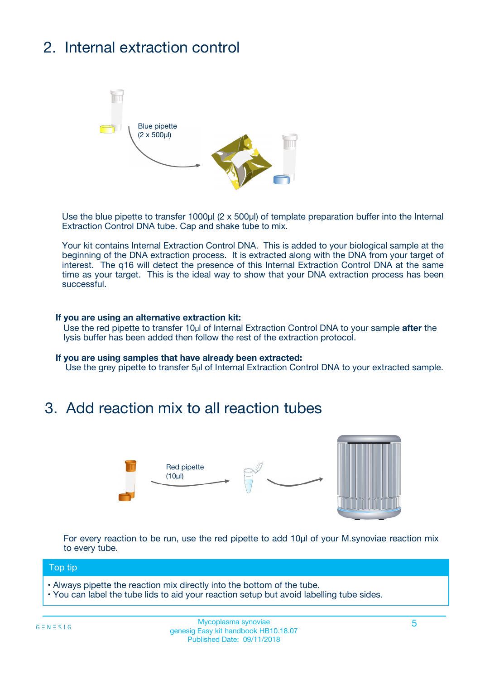# 2. Internal extraction control



Use the blue pipette to transfer 1000µl (2 x 500µl) of template preparation buffer into the Internal Extraction Control DNA tube. Cap and shake tube to mix.

Your kit contains Internal Extraction Control DNA. This is added to your biological sample at the beginning of the DNA extraction process. It is extracted along with the DNA from your target of interest. The q16 will detect the presence of this Internal Extraction Control DNA at the same time as your target. This is the ideal way to show that your DNA extraction process has been **successful.** 

#### **If you are using an alternative extraction kit:**

Use the red pipette to transfer 10µl of Internal Extraction Control DNA to your sample **after** the lysis buffer has been added then follow the rest of the extraction protocol.

#### **If you are using samples that have already been extracted:**

Use the grey pipette to transfer 5µl of Internal Extraction Control DNA to your extracted sample.

### 3. Add reaction mix to all reaction tubes



For every reaction to be run, use the red pipette to add 10µl of your M.synoviae reaction mix to every tube.

#### Top tip

- Always pipette the reaction mix directly into the bottom of the tube.
- You can label the tube lids to aid your reaction setup but avoid labelling tube sides.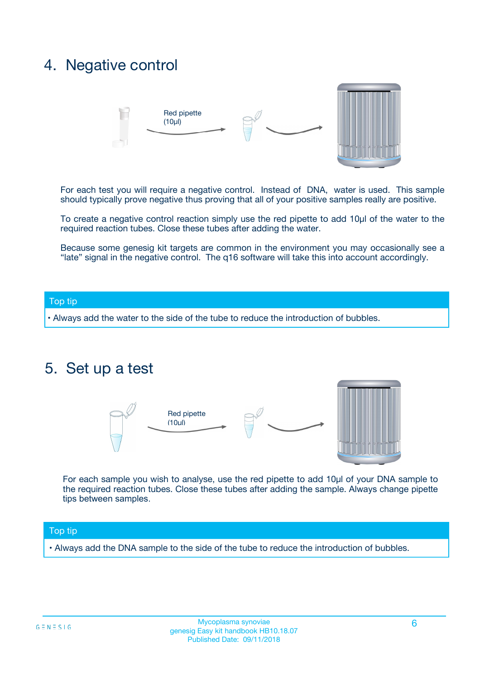### 4. Negative control



For each test you will require a negative control. Instead of DNA, water is used. This sample should typically prove negative thus proving that all of your positive samples really are positive.

To create a negative control reaction simply use the red pipette to add 10µl of the water to the required reaction tubes. Close these tubes after adding the water.

Because some genesig kit targets are common in the environment you may occasionally see a "late" signal in the negative control. The q16 software will take this into account accordingly.

#### Top tip

**•** Always add the water to the side of the tube to reduce the introduction of bubbles.

### 5. Set up a test



For each sample you wish to analyse, use the red pipette to add 10µl of your DNA sample to the required reaction tubes. Close these tubes after adding the sample. Always change pipette tips between samples.

#### Top tip

**•** Always add the DNA sample to the side of the tube to reduce the introduction of bubbles.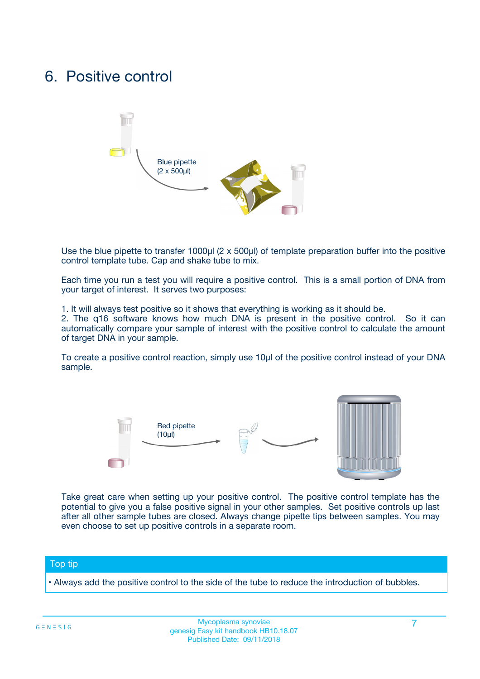### 6. Positive control



Use the blue pipette to transfer 1000µl (2 x 500µl) of template preparation buffer into the positive control template tube. Cap and shake tube to mix.

Each time you run a test you will require a positive control. This is a small portion of DNA from your target of interest. It serves two purposes:

1. It will always test positive so it shows that everything is working as it should be.

2. The q16 software knows how much DNA is present in the positive control. So it can automatically compare your sample of interest with the positive control to calculate the amount of target DNA in your sample.

To create a positive control reaction, simply use 10µl of the positive control instead of your DNA sample.



Take great care when setting up your positive control. The positive control template has the potential to give you a false positive signal in your other samples. Set positive controls up last after all other sample tubes are closed. Always change pipette tips between samples. You may even choose to set up positive controls in a separate room.

#### Top tip

**•** Always add the positive control to the side of the tube to reduce the introduction of bubbles.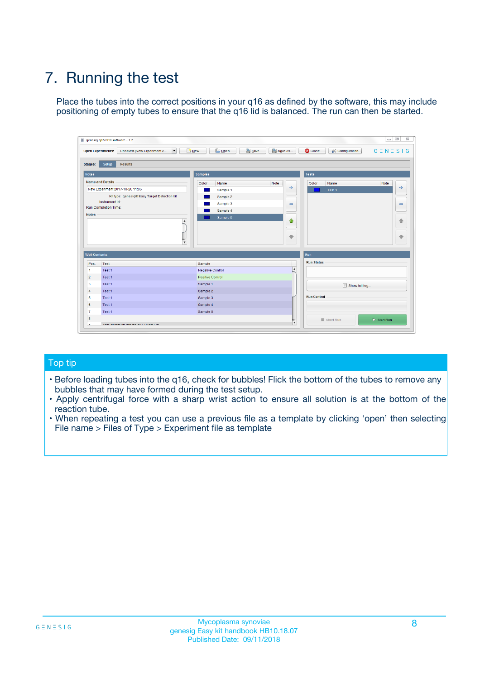# 7. Running the test

Place the tubes into the correct positions in your q16 as defined by the software, this may include positioning of empty tubes to ensure that the q16 lid is balanced. The run can then be started.

| genesig q16 PCR software - 1.2                                               |                                     | $\Box$                                                                                  |
|------------------------------------------------------------------------------|-------------------------------------|-----------------------------------------------------------------------------------------|
| Unsaved (New Experiment 2<br>$\vert \cdot \vert$<br><b>Open Experiments:</b> | <b>D</b> Open<br>Save<br>$\Box$ New | Save As<br><b>C</b> Close<br>$G \equiv N \equiv S \mid G$<br><b>&amp; Configuration</b> |
| Setup<br><b>Results</b><br><b>Stages:</b>                                    |                                     |                                                                                         |
| <b>Notes</b>                                                                 | Samples                             | <b>Tests</b>                                                                            |
| <b>Name and Details</b>                                                      | Color<br>Name                       | Note<br>Color<br>Note<br>Name                                                           |
| New Experiment 2017-10-26 11:06                                              | Sample 1                            | ع<br>条<br>Test 1                                                                        |
| Kit type: genesig® Easy Target Detection kit                                 | Sample 2                            |                                                                                         |
| Instrument Id.:                                                              | Sample 3                            | $\qquad \qquad \blacksquare$<br>$\qquad \qquad \blacksquare$                            |
| Run Completion Time:                                                         | Sample 4                            |                                                                                         |
| <b>Notes</b>                                                                 | Sample 5<br>A<br>v                  | $\triangle$<br>4<br>$\oplus$<br>₩                                                       |
| <b>Well Contents</b>                                                         |                                     | <b>Run</b>                                                                              |
| Pos.<br>Test                                                                 | Sample                              | <b>Run Status</b>                                                                       |
| Test 1<br>-1                                                                 | <b>Negative Control</b>             | $\blacktriangle$                                                                        |
| $\overline{2}$<br>Test 1                                                     | <b>Positive Control</b>             |                                                                                         |
| $\overline{\mathbf{3}}$<br>Test 1                                            | Sample 1                            | Show full log                                                                           |
| Test 1<br>$\overline{4}$                                                     | Sample 2                            |                                                                                         |
| 5<br>Test 1                                                                  | Sample 3                            | <b>Run Control</b>                                                                      |
| 6<br>Test 1                                                                  | Sample 4                            |                                                                                         |
| $\overline{7}$<br>Test 1                                                     | Sample 5                            |                                                                                         |
| 8                                                                            |                                     | $\triangleright$ Start Run<br>Abort Run                                                 |
| <b>JOD FURTY TUDE TO BUILDED IN</b>                                          |                                     | $\overline{\mathbf{v}}$                                                                 |

#### Top tip

- Before loading tubes into the q16, check for bubbles! Flick the bottom of the tubes to remove any bubbles that may have formed during the test setup.
- Apply centrifugal force with a sharp wrist action to ensure all solution is at the bottom of the reaction tube.
- When repeating a test you can use a previous file as a template by clicking 'open' then selecting File name > Files of Type > Experiment file as template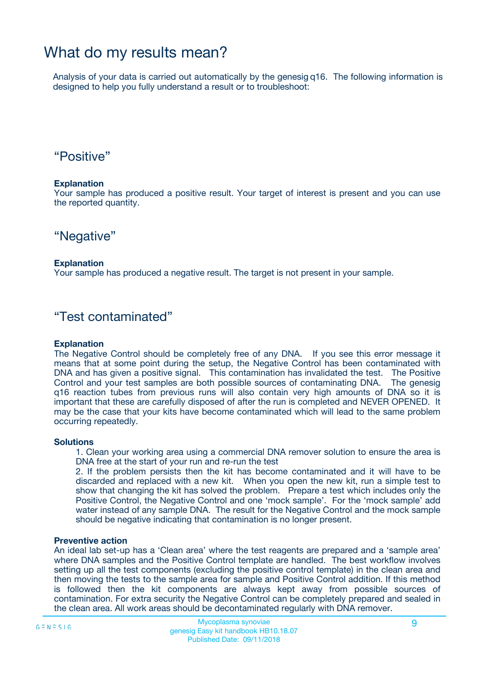### What do my results mean?

Analysis of your data is carried out automatically by the genesig q16. The following information is designed to help you fully understand a result or to troubleshoot:

### "Positive"

#### **Explanation**

Your sample has produced a positive result. Your target of interest is present and you can use the reported quantity.

"Negative"

#### **Explanation**

Your sample has produced a negative result. The target is not present in your sample.

### "Test contaminated"

#### **Explanation**

The Negative Control should be completely free of any DNA. If you see this error message it means that at some point during the setup, the Negative Control has been contaminated with DNA and has given a positive signal. This contamination has invalidated the test. The Positive Control and your test samples are both possible sources of contaminating DNA. The genesig q16 reaction tubes from previous runs will also contain very high amounts of DNA so it is important that these are carefully disposed of after the run is completed and NEVER OPENED. It may be the case that your kits have become contaminated which will lead to the same problem occurring repeatedly.

#### **Solutions**

1. Clean your working area using a commercial DNA remover solution to ensure the area is DNA free at the start of your run and re-run the test

2. If the problem persists then the kit has become contaminated and it will have to be discarded and replaced with a new kit. When you open the new kit, run a simple test to show that changing the kit has solved the problem. Prepare a test which includes only the Positive Control, the Negative Control and one 'mock sample'. For the 'mock sample' add water instead of any sample DNA. The result for the Negative Control and the mock sample should be negative indicating that contamination is no longer present.

#### **Preventive action**

An ideal lab set-up has a 'Clean area' where the test reagents are prepared and a 'sample area' where DNA samples and the Positive Control template are handled. The best workflow involves setting up all the test components (excluding the positive control template) in the clean area and then moving the tests to the sample area for sample and Positive Control addition. If this method is followed then the kit components are always kept away from possible sources of contamination. For extra security the Negative Control can be completely prepared and sealed in the clean area. All work areas should be decontaminated regularly with DNA remover.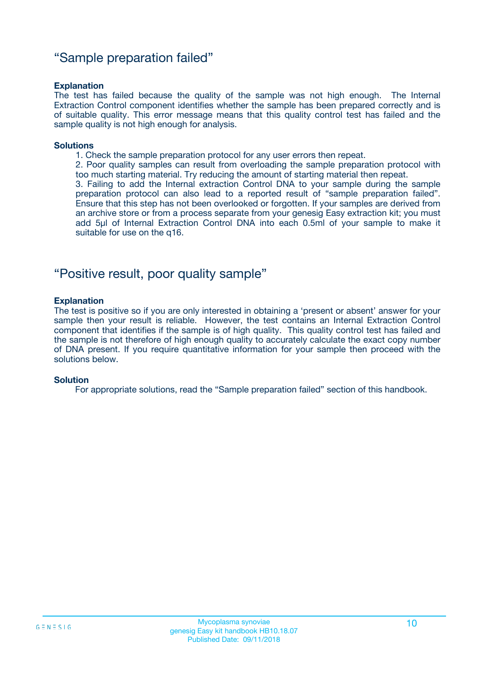### "Sample preparation failed"

#### **Explanation**

The test has failed because the quality of the sample was not high enough. The Internal Extraction Control component identifies whether the sample has been prepared correctly and is of suitable quality. This error message means that this quality control test has failed and the sample quality is not high enough for analysis.

#### **Solutions**

1. Check the sample preparation protocol for any user errors then repeat.

2. Poor quality samples can result from overloading the sample preparation protocol with too much starting material. Try reducing the amount of starting material then repeat.

3. Failing to add the Internal extraction Control DNA to your sample during the sample preparation protocol can also lead to a reported result of "sample preparation failed". Ensure that this step has not been overlooked or forgotten. If your samples are derived from an archive store or from a process separate from your genesig Easy extraction kit; you must add 5µl of Internal Extraction Control DNA into each 0.5ml of your sample to make it suitable for use on the q16.

### "Positive result, poor quality sample"

#### **Explanation**

The test is positive so if you are only interested in obtaining a 'present or absent' answer for your sample then your result is reliable. However, the test contains an Internal Extraction Control component that identifies if the sample is of high quality. This quality control test has failed and the sample is not therefore of high enough quality to accurately calculate the exact copy number of DNA present. If you require quantitative information for your sample then proceed with the solutions below.

#### **Solution**

For appropriate solutions, read the "Sample preparation failed" section of this handbook.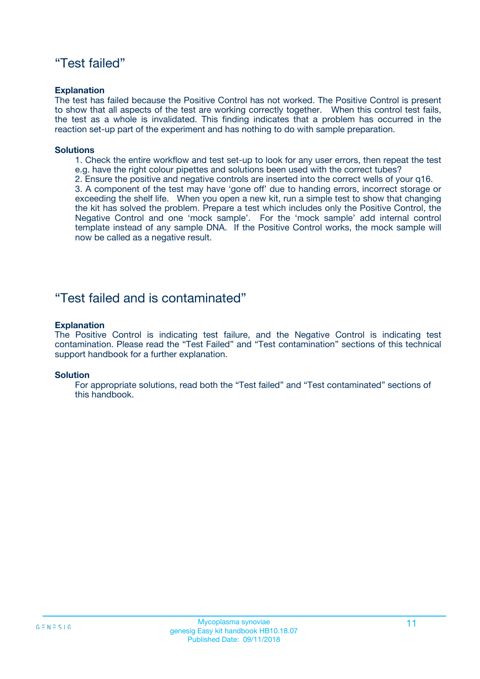### "Test failed"

#### **Explanation**

The test has failed because the Positive Control has not worked. The Positive Control is present to show that all aspects of the test are working correctly together. When this control test fails, the test as a whole is invalidated. This finding indicates that a problem has occurred in the reaction set-up part of the experiment and has nothing to do with sample preparation.

#### **Solutions**

- 1. Check the entire workflow and test set-up to look for any user errors, then repeat the test e.g. have the right colour pipettes and solutions been used with the correct tubes?
- 2. Ensure the positive and negative controls are inserted into the correct wells of your q16.

3. A component of the test may have 'gone off' due to handing errors, incorrect storage or exceeding the shelf life. When you open a new kit, run a simple test to show that changing the kit has solved the problem. Prepare a test which includes only the Positive Control, the Negative Control and one 'mock sample'. For the 'mock sample' add internal control template instead of any sample DNA. If the Positive Control works, the mock sample will now be called as a negative result.

### "Test failed and is contaminated"

#### **Explanation**

The Positive Control is indicating test failure, and the Negative Control is indicating test contamination. Please read the "Test Failed" and "Test contamination" sections of this technical support handbook for a further explanation.

#### **Solution**

For appropriate solutions, read both the "Test failed" and "Test contaminated" sections of this handbook.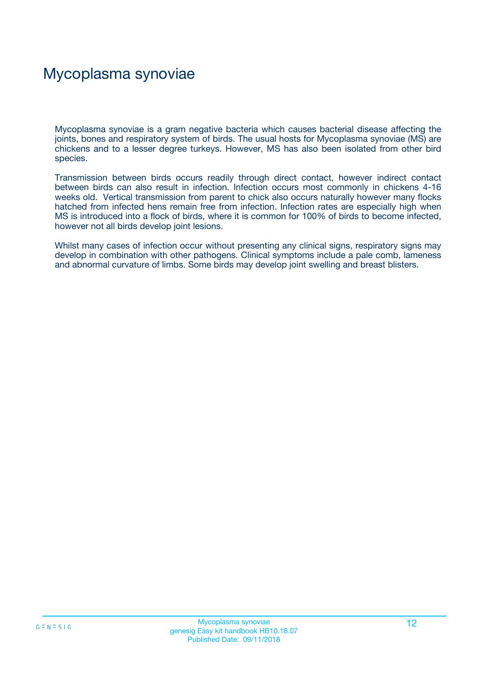# Mycoplasma synoviae

Mycoplasma synoviae is a gram negative bacteria which causes bacterial disease affecting the joints, bones and respiratory system of birds. The usual hosts for Mycoplasma synoviae (MS) are chickens and to a lesser degree turkeys. However, MS has also been isolated from other bird species.

Transmission between birds occurs readily through direct contact, however indirect contact between birds can also result in infection. Infection occurs most commonly in chickens 4-16 weeks old. Vertical transmission from parent to chick also occurs naturally however many flocks hatched from infected hens remain free from infection. Infection rates are especially high when MS is introduced into a flock of birds, where it is common for 100% of birds to become infected, however not all birds develop joint lesions.

Whilst many cases of infection occur without presenting any clinical signs, respiratory signs may develop in combination with other pathogens. Clinical symptoms include a pale comb, lameness and abnormal curvature of limbs. Some birds may develop joint swelling and breast blisters.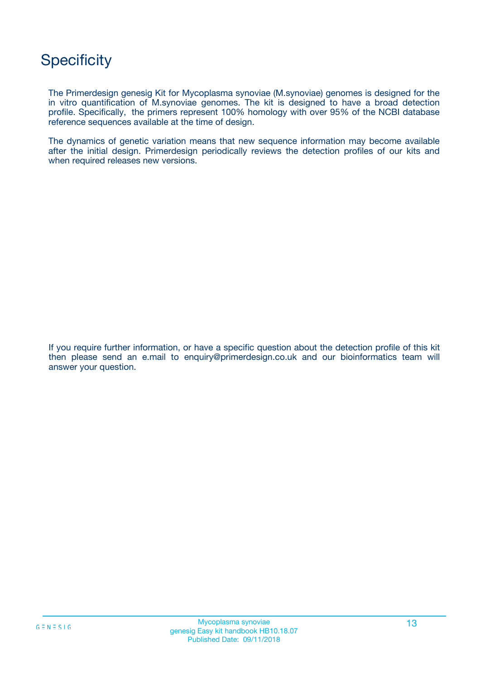# **Specificity**

The Primerdesign genesig Kit for Mycoplasma synoviae (M.synoviae) genomes is designed for the in vitro quantification of M.synoviae genomes. The kit is designed to have a broad detection profile. Specifically, the primers represent 100% homology with over 95% of the NCBI database reference sequences available at the time of design.

The dynamics of genetic variation means that new sequence information may become available after the initial design. Primerdesign periodically reviews the detection profiles of our kits and when required releases new versions.

If you require further information, or have a specific question about the detection profile of this kit then please send an e.mail to enquiry@primerdesign.co.uk and our bioinformatics team will answer your question.